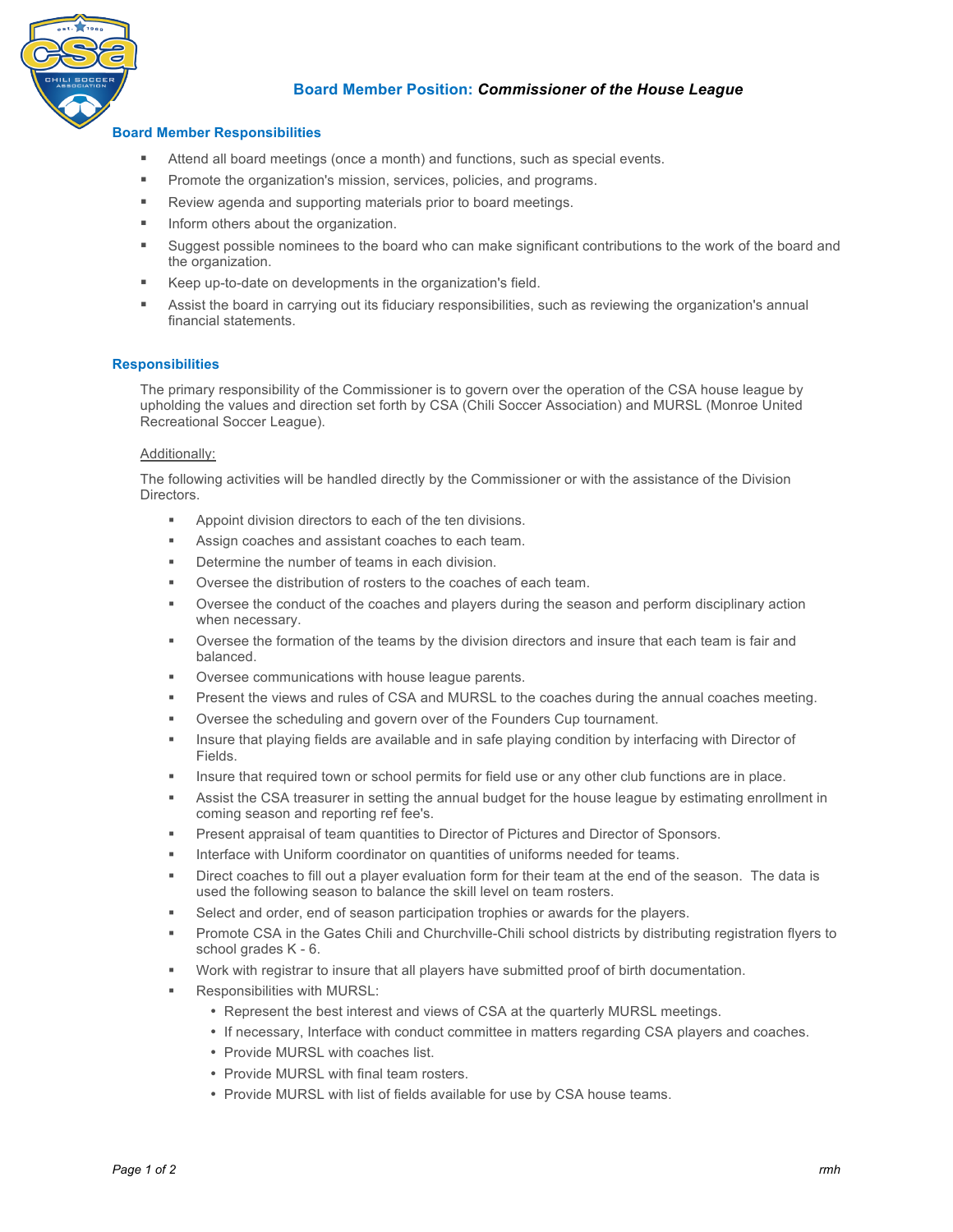

# **Board Member Position:** *Commissioner of the House League*

## **Board Member Responsibilities**

- ! Attend all board meetings (once a month) and functions, such as special events.
- **Promote the organization's mission, services, policies, and programs.**
- **EXECTE:** Review agenda and supporting materials prior to board meetings.
- **Inform others about the organization.**
- ! Suggest possible nominees to the board who can make significant contributions to the work of the board and the organization.
- ! Keep up-to-date on developments in the organization's field.
- ! Assist the board in carrying out its fiduciary responsibilities, such as reviewing the organization's annual financial statements.

### **Responsibilities**

The primary responsibility of the Commissioner is to govern over the operation of the CSA house league by upholding the values and direction set forth by CSA (Chili Soccer Association) and MURSL (Monroe United Recreational Soccer League).

#### Additionally:

The following activities will be handled directly by the Commissioner or with the assistance of the Division Directors.

- ! Appoint division directors to each of the ten divisions.
- Assign coaches and assistant coaches to each team.
- Determine the number of teams in each division.
- Oversee the distribution of rosters to the coaches of each team.
- Oversee the conduct of the coaches and players during the season and perform disciplinary action when necessary.
- Oversee the formation of the teams by the division directors and insure that each team is fair and balanced.
- Oversee communications with house league parents.
- Present the views and rules of CSA and MURSL to the coaches during the annual coaches meeting.
- Oversee the scheduling and govern over of the Founders Cup tournament.
- Insure that playing fields are available and in safe playing condition by interfacing with Director of Fields.
- Insure that required town or school permits for field use or any other club functions are in place.
- Assist the CSA treasurer in setting the annual budget for the house league by estimating enrollment in coming season and reporting ref fee's.
- Present appraisal of team quantities to Director of Pictures and Director of Sponsors.
- Interface with Uniform coordinator on quantities of uniforms needed for teams.
- Direct coaches to fill out a player evaluation form for their team at the end of the season. The data is used the following season to balance the skill level on team rosters.
- Select and order, end of season participation trophies or awards for the players.
- Promote CSA in the Gates Chili and Churchville-Chili school districts by distributing registration flyers to school grades K - 6.
- ! Work with registrar to insure that all players have submitted proof of birth documentation.
- Responsibilities with MURSL:
	- Represent the best interest and views of CSA at the quarterly MURSL meetings.
	- If necessary, Interface with conduct committee in matters regarding CSA players and coaches.
	- Provide MURSL with coaches list.
	- Provide MURSL with final team rosters.
	- Provide MURSL with list of fields available for use by CSA house teams.